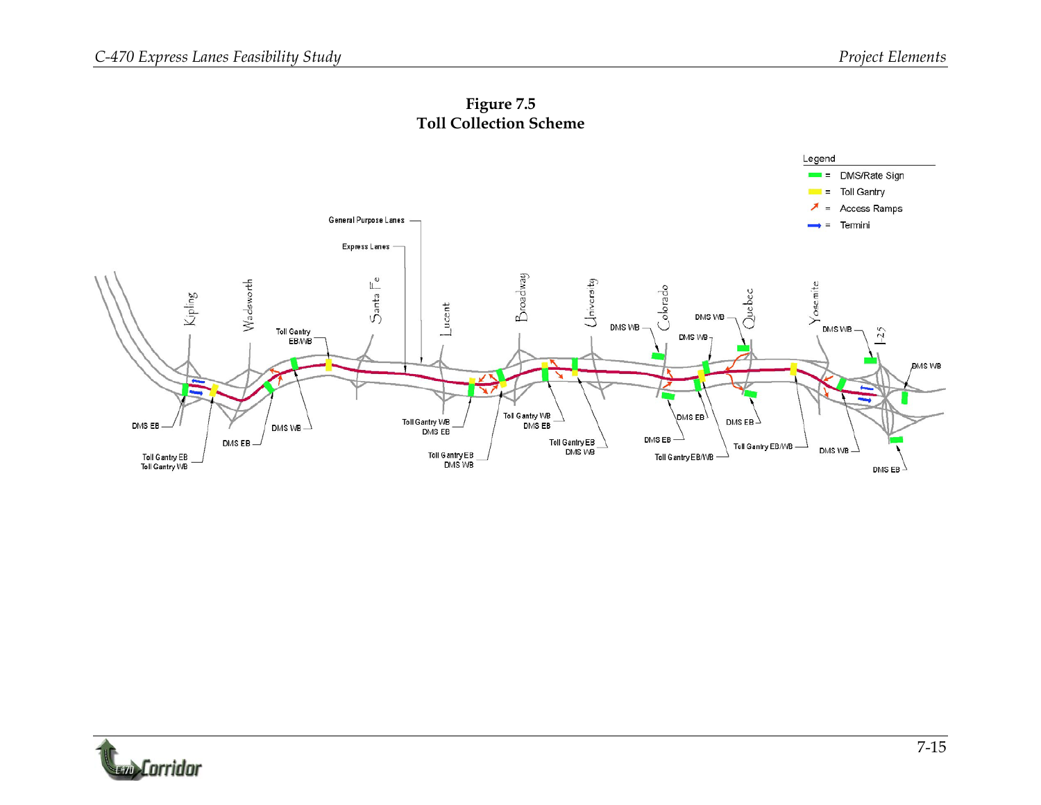

**Figure 7.5 Toll Collection Scheme** 

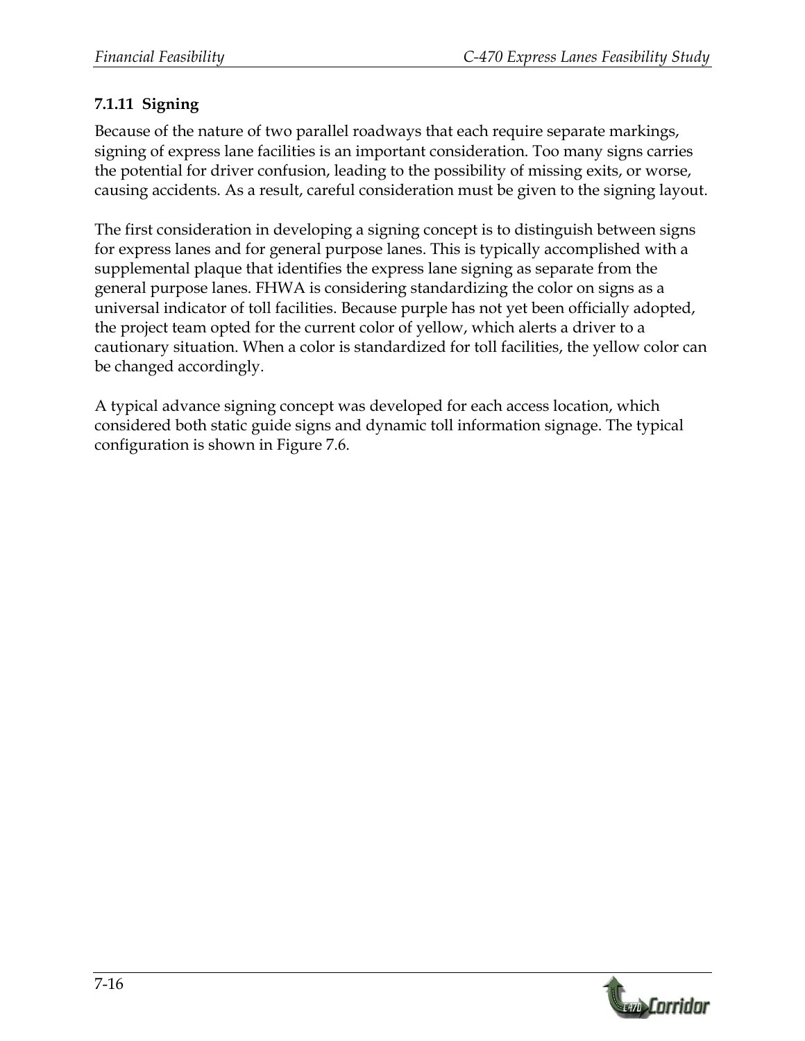# **7.1.11 Signing**

Because of the nature of two parallel roadways that each require separate markings, signing of express lane facilities is an important consideration. Too many signs carries the potential for driver confusion, leading to the possibility of missing exits, or worse, causing accidents. As a result, careful consideration must be given to the signing layout.

The first consideration in developing a signing concept is to distinguish between signs for express lanes and for general purpose lanes. This is typically accomplished with a supplemental plaque that identifies the express lane signing as separate from the general purpose lanes. FHWA is considering standardizing the color on signs as a universal indicator of toll facilities. Because purple has not yet been officially adopted, the project team opted for the current color of yellow, which alerts a driver to a cautionary situation. When a color is standardized for toll facilities, the yellow color can be changed accordingly.

A typical advance signing concept was developed for each access location, which considered both static guide signs and dynamic toll information signage. The typical configuration is shown in Figure 7.6.

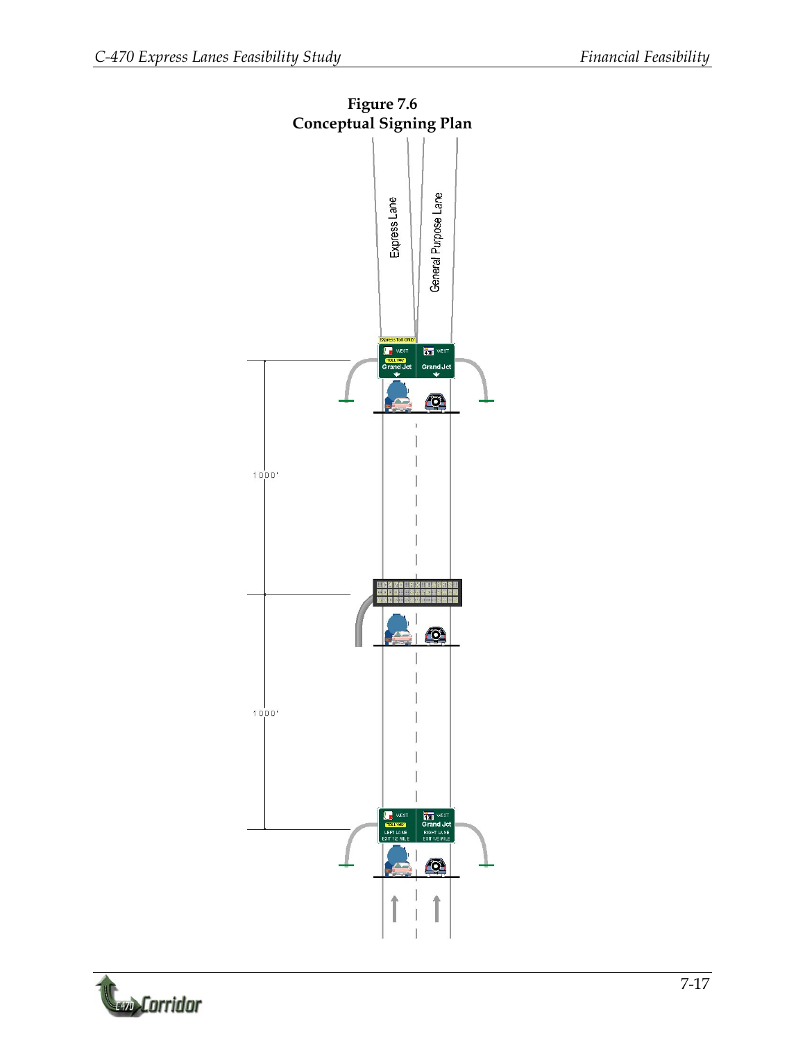

**Contrator**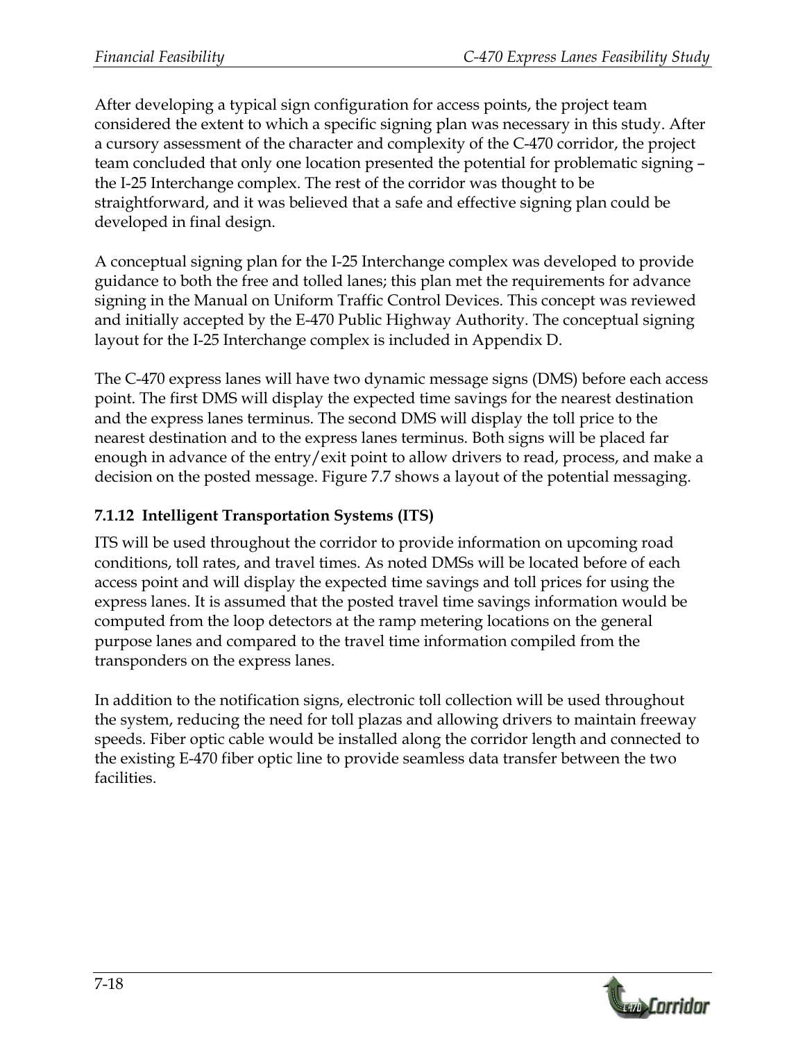After developing a typical sign configuration for access points, the project team considered the extent to which a specific signing plan was necessary in this study. After a cursory assessment of the character and complexity of the C-470 corridor, the project team concluded that only one location presented the potential for problematic signing – the I-25 Interchange complex. The rest of the corridor was thought to be straightforward, and it was believed that a safe and effective signing plan could be developed in final design.

A conceptual signing plan for the I-25 Interchange complex was developed to provide guidance to both the free and tolled lanes; this plan met the requirements for advance signing in the Manual on Uniform Traffic Control Devices. This concept was reviewed and initially accepted by the E-470 Public Highway Authority. The conceptual signing layout for the I-25 Interchange complex is included in Appendix D.

The C-470 express lanes will have two dynamic message signs (DMS) before each access point. The first DMS will display the expected time savings for the nearest destination and the express lanes terminus. The second DMS will display the toll price to the nearest destination and to the express lanes terminus. Both signs will be placed far enough in advance of the entry/exit point to allow drivers to read, process, and make a decision on the posted message. Figure 7.7 shows a layout of the potential messaging.

#### **7.1.12 Intelligent Transportation Systems (ITS)**

ITS will be used throughout the corridor to provide information on upcoming road conditions, toll rates, and travel times. As noted DMSs will be located before of each access point and will display the expected time savings and toll prices for using the express lanes. It is assumed that the posted travel time savings information would be computed from the loop detectors at the ramp metering locations on the general purpose lanes and compared to the travel time information compiled from the transponders on the express lanes.

In addition to the notification signs, electronic toll collection will be used throughout the system, reducing the need for toll plazas and allowing drivers to maintain freeway speeds. Fiber optic cable would be installed along the corridor length and connected to the existing E-470 fiber optic line to provide seamless data transfer between the two facilities.

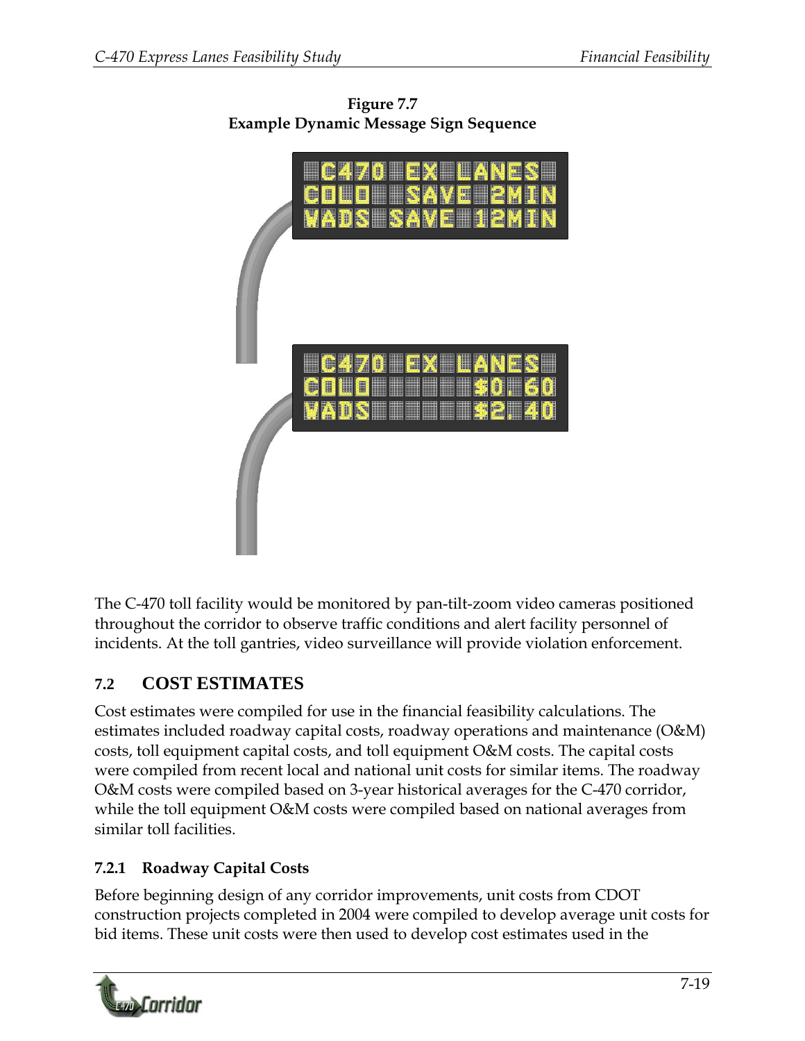

**Figure 7.7 Example Dynamic Message Sign Sequence** 

The C-470 toll facility would be monitored by pan-tilt-zoom video cameras positioned throughout the corridor to observe traffic conditions and alert facility personnel of incidents. At the toll gantries, video surveillance will provide violation enforcement.

# **7.2 COST ESTIMATES**

Cost estimates were compiled for use in the financial feasibility calculations. The estimates included roadway capital costs, roadway operations and maintenance (O&M) costs, toll equipment capital costs, and toll equipment O&M costs. The capital costs were compiled from recent local and national unit costs for similar items. The roadway O&M costs were compiled based on 3-year historical averages for the C-470 corridor, while the toll equipment O&M costs were compiled based on national averages from similar toll facilities.

# **7.2.1 Roadway Capital Costs**

Before beginning design of any corridor improvements, unit costs from CDOT construction projects completed in 2004 were compiled to develop average unit costs for bid items. These unit costs were then used to develop cost estimates used in the

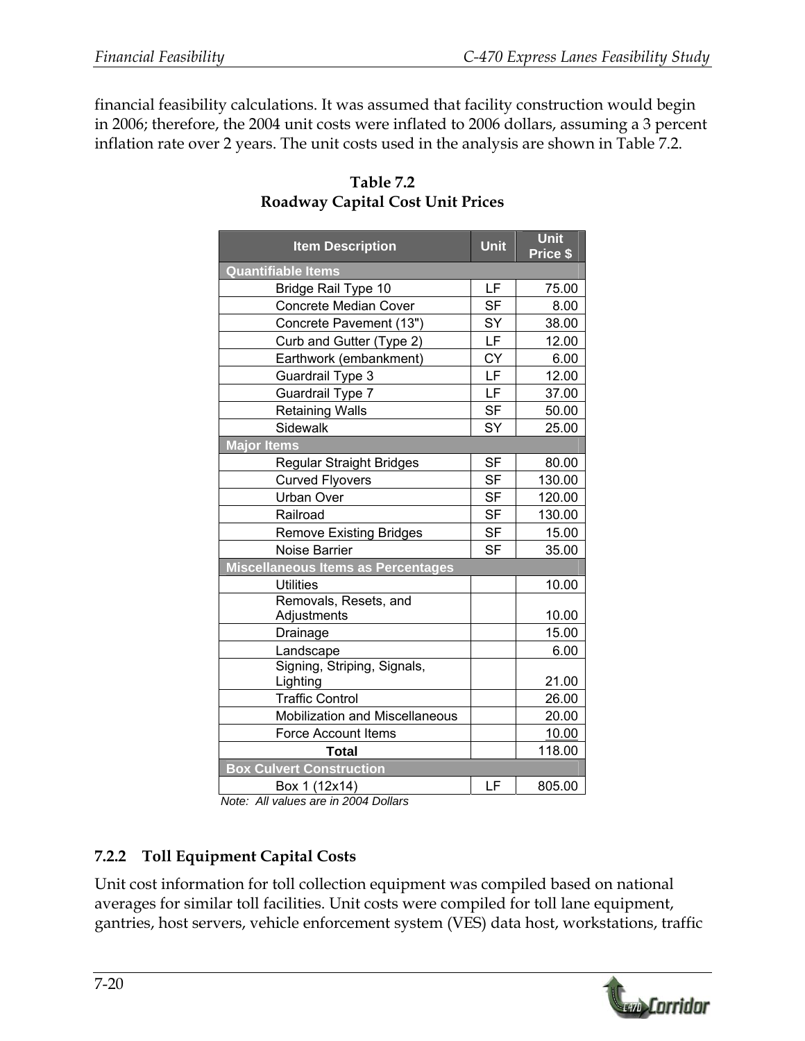financial feasibility calculations. It was assumed that facility construction would begin in 2006; therefore, the 2004 unit costs were inflated to 2006 dollars, assuming a 3 percent inflation rate over 2 years. The unit costs used in the analysis are shown in Table 7.2.

| <b>Item Description</b>                 | <b>Unit</b> | <b>Unit</b><br>Price \$ |
|-----------------------------------------|-------------|-------------------------|
| <b>Quantifiable Items</b>               |             |                         |
| Bridge Rail Type 10                     |             | 75.00                   |
| <b>Concrete Median Cover</b>            | <b>SF</b>   | 8.00                    |
| Concrete Pavement (13")                 | SY          | 38.00                   |
| Curb and Gutter (Type 2)                | <b>LF</b>   | 12.00                   |
| Earthwork (embankment)                  | <b>CY</b>   | 6.00                    |
| Guardrail Type 3                        | LF          | 12.00                   |
| Guardrail Type 7                        | LF          | 37.00                   |
| <b>Retaining Walls</b>                  | <b>SF</b>   | 50.00                   |
| <b>Sidewalk</b>                         | SY          | 25.00                   |
| <b>Major Items</b>                      |             |                         |
| Regular Straight Bridges                | <b>SF</b>   | 80.00                   |
| <b>Curved Flyovers</b>                  | <b>SF</b>   | 130.00                  |
| <b>Urban Over</b>                       | <b>SF</b>   | 120.00                  |
| Railroad                                | <b>SF</b>   | 130.00                  |
| <b>Remove Existing Bridges</b>          | <b>SF</b>   | 15.00                   |
| Noise Barrier                           | <b>SF</b>   | 35.00                   |
| Miscellaneous Items as Percentages      |             |                         |
| <b>Utilities</b>                        |             | 10.00                   |
| Removals, Resets, and                   |             |                         |
| Adjustments                             |             | 10.00                   |
| Drainage                                |             | 15.00                   |
| Landscape                               |             | 6.00                    |
| Signing, Striping, Signals,<br>Lighting |             | 21.00                   |
| <b>Traffic Control</b>                  |             | 26.00                   |
| Mobilization and Miscellaneous          |             | 20.00                   |
| Force Account Items                     |             | 10.00                   |
| <b>Total</b>                            |             | 118.00                  |
| <b>Box Culvert Construction</b>         |             |                         |
| Box 1 (12x14)                           | LF          | 805.00                  |

#### **Table 7.2 Roadway Capital Cost Unit Prices**

*Note: All values are in 2004 Dollars* 

# **7.2.2 Toll Equipment Capital Costs**

Unit cost information for toll collection equipment was compiled based on national averages for similar toll facilities. Unit costs were compiled for toll lane equipment, gantries, host servers, vehicle enforcement system (VES) data host, workstations, traffic

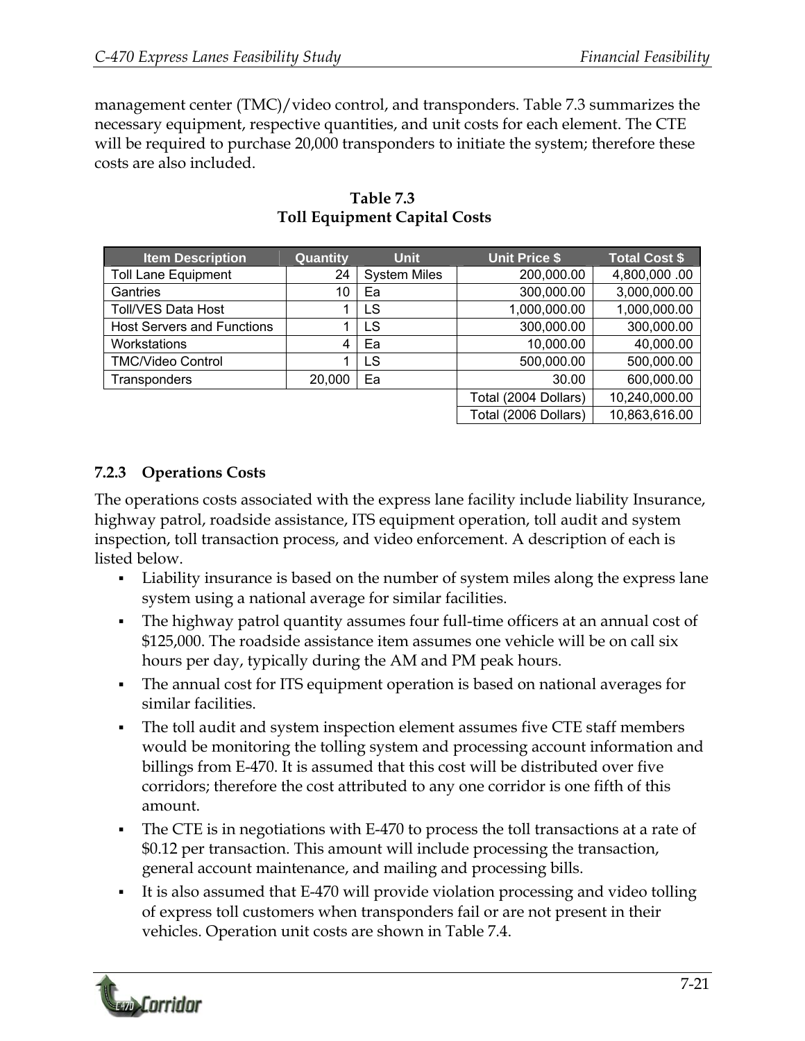management center (TMC)/video control, and transponders. Table 7.3 summarizes the necessary equipment, respective quantities, and unit costs for each element. The CTE will be required to purchase 20,000 transponders to initiate the system; therefore these costs are also included.

| <b>Item Description</b>           | Quantity | <b>Unit</b>         | <b>Unit Price \$</b> | <b>Total Cost \$</b> |
|-----------------------------------|----------|---------------------|----------------------|----------------------|
| <b>Toll Lane Equipment</b>        | 24       | <b>System Miles</b> | 200,000.00           | 4,800,000.00         |
| Gantries                          | 10       | Ea                  | 300,000.00           | 3,000,000.00         |
| <b>Toll/VES Data Host</b>         |          | LS                  | 1,000,000.00         | 1,000,000.00         |
| <b>Host Servers and Functions</b> |          | LS                  | 300,000.00           | 300,000.00           |
| Workstations                      | 4        | Ea                  | 10,000.00            | 40,000.00            |
| <b>TMC/Video Control</b>          |          | <b>LS</b>           | 500,000.00           | 500,000.00           |
| Transponders                      | 20,000   | Ea                  | 30.00                | 600,000.00           |
|                                   |          |                     | Total (2004 Dollars) | 10,240,000.00        |
|                                   |          |                     | Total (2006 Dollars) | 10,863,616.00        |

#### **Table 7.3 Toll Equipment Capital Costs**

#### **7.2.3 Operations Costs**

The operations costs associated with the express lane facility include liability Insurance, highway patrol, roadside assistance, ITS equipment operation, toll audit and system inspection, toll transaction process, and video enforcement. A description of each is listed below.

- Liability insurance is based on the number of system miles along the express lane system using a national average for similar facilities.
- The highway patrol quantity assumes four full-time officers at an annual cost of \$125,000. The roadside assistance item assumes one vehicle will be on call six hours per day, typically during the AM and PM peak hours.
- The annual cost for ITS equipment operation is based on national averages for similar facilities.
- The toll audit and system inspection element assumes five CTE staff members would be monitoring the tolling system and processing account information and billings from E-470. It is assumed that this cost will be distributed over five corridors; therefore the cost attributed to any one corridor is one fifth of this amount.
- The CTE is in negotiations with E-470 to process the toll transactions at a rate of \$0.12 per transaction. This amount will include processing the transaction, general account maintenance, and mailing and processing bills.
- It is also assumed that E-470 will provide violation processing and video tolling of express toll customers when transponders fail or are not present in their vehicles. Operation unit costs are shown in Table 7.4.

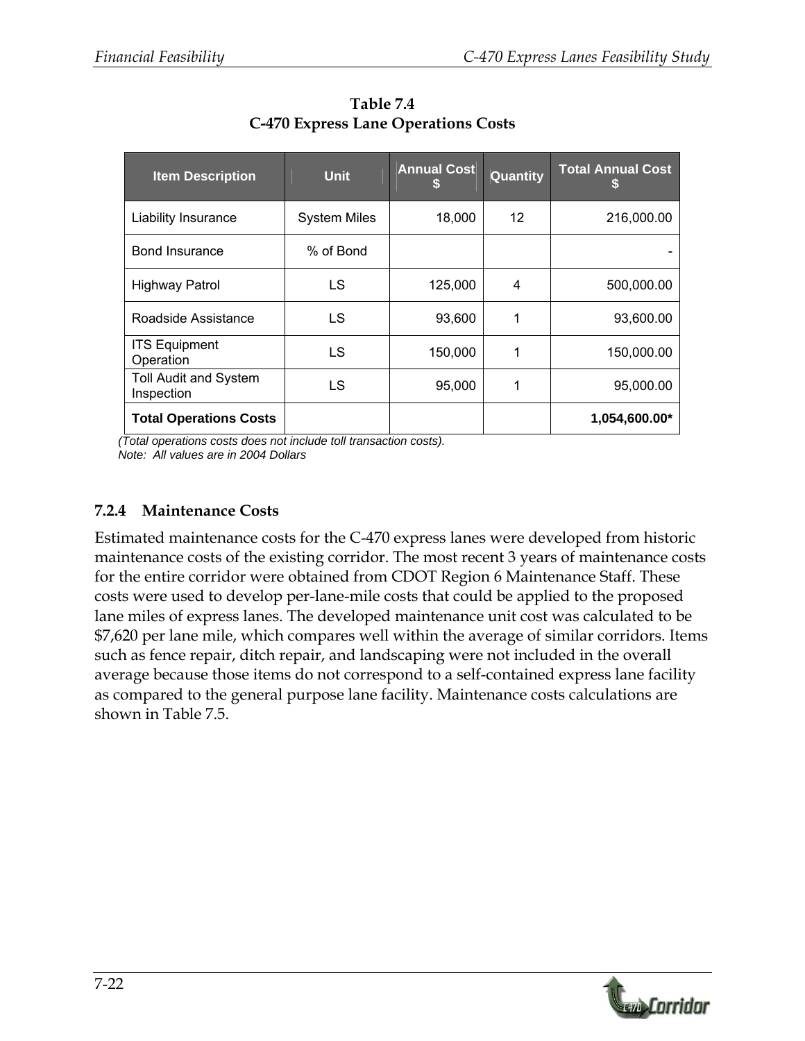| <b>Item Description</b>                    | <b>Unit</b>         | <b>Annual Cost</b> | Quantity          | <b>Total Annual Cost</b> |
|--------------------------------------------|---------------------|--------------------|-------------------|--------------------------|
| Liability Insurance                        | <b>System Miles</b> | 18,000             | $12 \overline{ }$ | 216,000.00               |
| <b>Bond Insurance</b>                      | % of Bond           |                    |                   |                          |
| <b>Highway Patrol</b>                      | LS                  | 125,000            | 4                 | 500,000.00               |
| Roadside Assistance                        | LS                  | 93,600             | 1                 | 93,600.00                |
| <b>ITS Equipment</b><br>Operation          | LS                  | 150,000            | 1                 | 150,000.00               |
| <b>Toll Audit and System</b><br>Inspection | LS                  | 95,000             |                   | 95,000.00                |
| <b>Total Operations Costs</b>              |                     |                    |                   | 1,054,600.00*            |

**Table 7.4 C-470 Express Lane Operations Costs** 

*(Total operations costs does not include toll transaction costs). Note: All values are in 2004 Dollars* 

#### **7.2.4 Maintenance Costs**

Estimated maintenance costs for the C-470 express lanes were developed from historic maintenance costs of the existing corridor. The most recent 3 years of maintenance costs for the entire corridor were obtained from CDOT Region 6 Maintenance Staff. These costs were used to develop per-lane-mile costs that could be applied to the proposed lane miles of express lanes. The developed maintenance unit cost was calculated to be \$7,620 per lane mile, which compares well within the average of similar corridors. Items such as fence repair, ditch repair, and landscaping were not included in the overall average because those items do not correspond to a self-contained express lane facility as compared to the general purpose lane facility. Maintenance costs calculations are shown in Table 7.5.

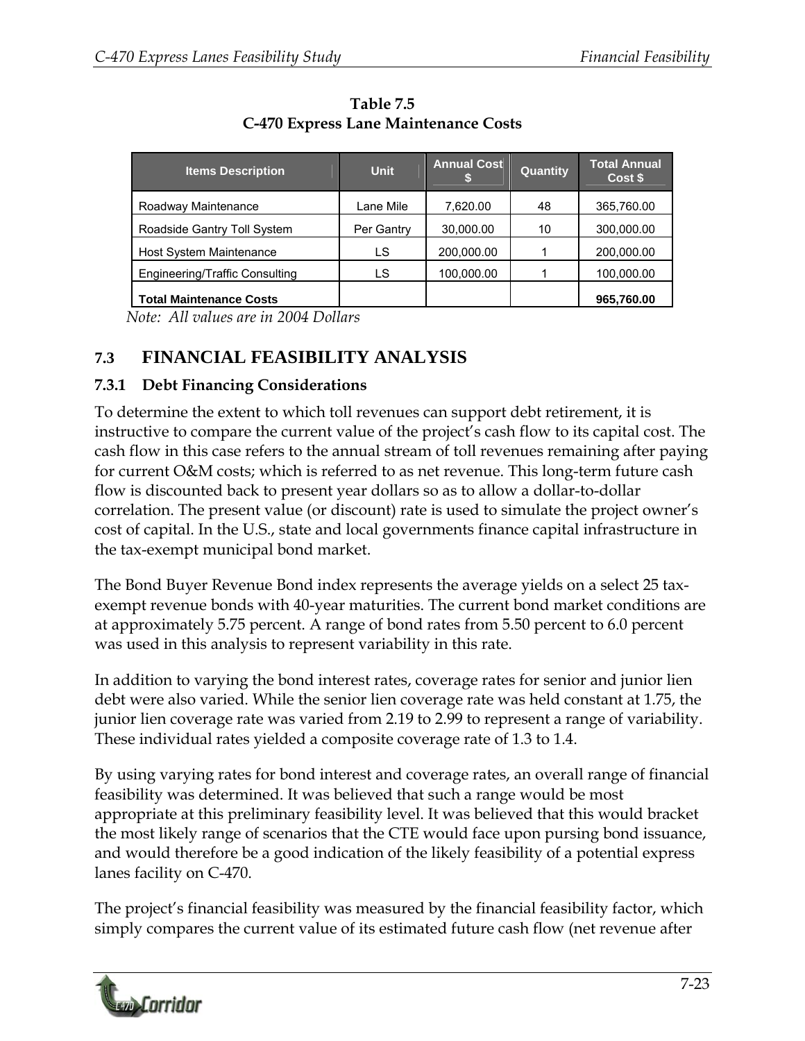| <b>Items Description</b>              | <b>Unit</b> | <b>Annual Cost</b> | <b>Quantity</b> | <b>Total Annual</b><br>Cost \$ |
|---------------------------------------|-------------|--------------------|-----------------|--------------------------------|
| Roadway Maintenance                   | Lane Mile   | 7,620.00           | 48              | 365,760.00                     |
| Roadside Gantry Toll System           | Per Gantry  | 30,000.00          | 10              | 300,000.00                     |
| Host System Maintenance               | LS          | 200,000.00         |                 | 200,000.00                     |
| <b>Engineering/Traffic Consulting</b> | LS          | 100,000.00         |                 | 100,000.00                     |
| <b>Total Maintenance Costs</b>        |             |                    |                 | 965,760.00                     |

**Table 7.5 C-470 Express Lane Maintenance Costs** 

*Note: All values are in 2004 Dollars* 

# **7.3 FINANCIAL FEASIBILITY ANALYSIS**

#### **7.3.1 Debt Financing Considerations**

To determine the extent to which toll revenues can support debt retirement, it is instructive to compare the current value of the project's cash flow to its capital cost. The cash flow in this case refers to the annual stream of toll revenues remaining after paying for current O&M costs; which is referred to as net revenue. This long-term future cash flow is discounted back to present year dollars so as to allow a dollar-to-dollar correlation. The present value (or discount) rate is used to simulate the project owner's cost of capital. In the U.S., state and local governments finance capital infrastructure in the tax-exempt municipal bond market.

The Bond Buyer Revenue Bond index represents the average yields on a select 25 taxexempt revenue bonds with 40-year maturities. The current bond market conditions are at approximately 5.75 percent. A range of bond rates from 5.50 percent to 6.0 percent was used in this analysis to represent variability in this rate.

In addition to varying the bond interest rates, coverage rates for senior and junior lien debt were also varied. While the senior lien coverage rate was held constant at 1.75, the junior lien coverage rate was varied from 2.19 to 2.99 to represent a range of variability. These individual rates yielded a composite coverage rate of 1.3 to 1.4.

By using varying rates for bond interest and coverage rates, an overall range of financial feasibility was determined. It was believed that such a range would be most appropriate at this preliminary feasibility level. It was believed that this would bracket the most likely range of scenarios that the CTE would face upon pursing bond issuance, and would therefore be a good indication of the likely feasibility of a potential express lanes facility on C-470.

The project's financial feasibility was measured by the financial feasibility factor, which simply compares the current value of its estimated future cash flow (net revenue after

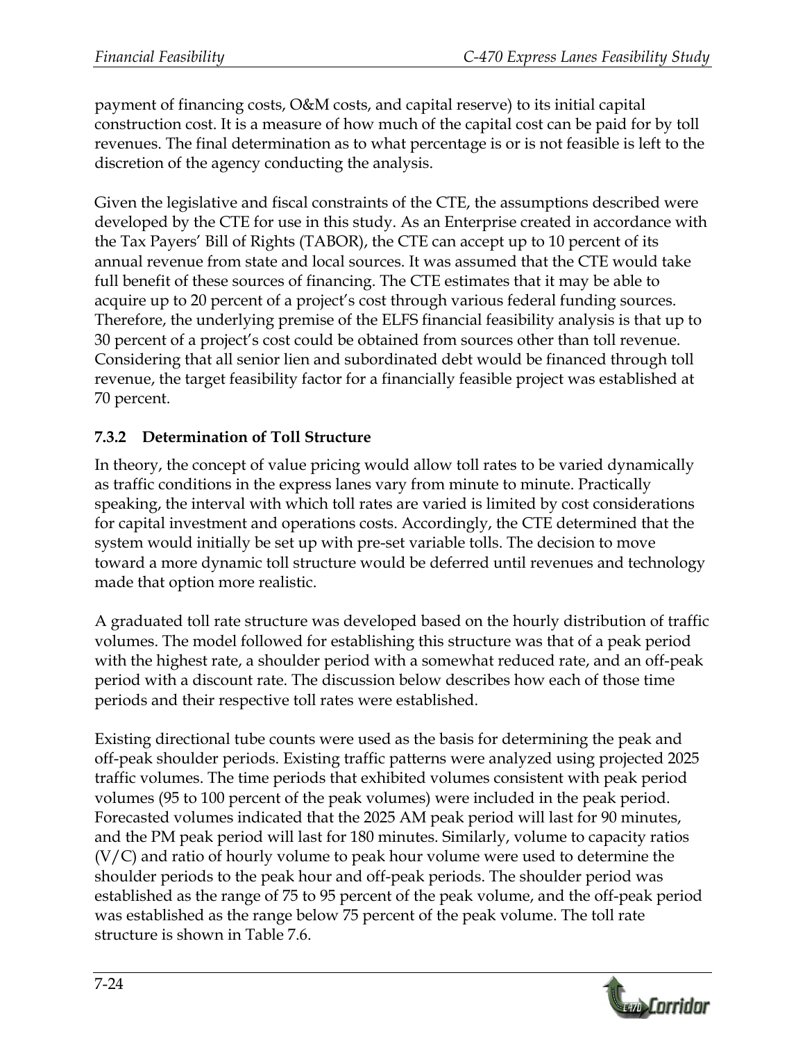payment of financing costs, O&M costs, and capital reserve) to its initial capital construction cost. It is a measure of how much of the capital cost can be paid for by toll revenues. The final determination as to what percentage is or is not feasible is left to the discretion of the agency conducting the analysis.

Given the legislative and fiscal constraints of the CTE, the assumptions described were developed by the CTE for use in this study. As an Enterprise created in accordance with the Tax Payers' Bill of Rights (TABOR), the CTE can accept up to 10 percent of its annual revenue from state and local sources. It was assumed that the CTE would take full benefit of these sources of financing. The CTE estimates that it may be able to acquire up to 20 percent of a project's cost through various federal funding sources. Therefore, the underlying premise of the ELFS financial feasibility analysis is that up to 30 percent of a project's cost could be obtained from sources other than toll revenue. Considering that all senior lien and subordinated debt would be financed through toll revenue, the target feasibility factor for a financially feasible project was established at 70 percent.

#### **7.3.2 Determination of Toll Structure**

In theory, the concept of value pricing would allow toll rates to be varied dynamically as traffic conditions in the express lanes vary from minute to minute. Practically speaking, the interval with which toll rates are varied is limited by cost considerations for capital investment and operations costs. Accordingly, the CTE determined that the system would initially be set up with pre-set variable tolls. The decision to move toward a more dynamic toll structure would be deferred until revenues and technology made that option more realistic.

A graduated toll rate structure was developed based on the hourly distribution of traffic volumes. The model followed for establishing this structure was that of a peak period with the highest rate, a shoulder period with a somewhat reduced rate, and an off-peak period with a discount rate. The discussion below describes how each of those time periods and their respective toll rates were established.

Existing directional tube counts were used as the basis for determining the peak and off-peak shoulder periods. Existing traffic patterns were analyzed using projected 2025 traffic volumes. The time periods that exhibited volumes consistent with peak period volumes (95 to 100 percent of the peak volumes) were included in the peak period. Forecasted volumes indicated that the 2025 AM peak period will last for 90 minutes, and the PM peak period will last for 180 minutes. Similarly, volume to capacity ratios (V/C) and ratio of hourly volume to peak hour volume were used to determine the shoulder periods to the peak hour and off-peak periods. The shoulder period was established as the range of 75 to 95 percent of the peak volume, and the off-peak period was established as the range below 75 percent of the peak volume. The toll rate structure is shown in Table 7.6.

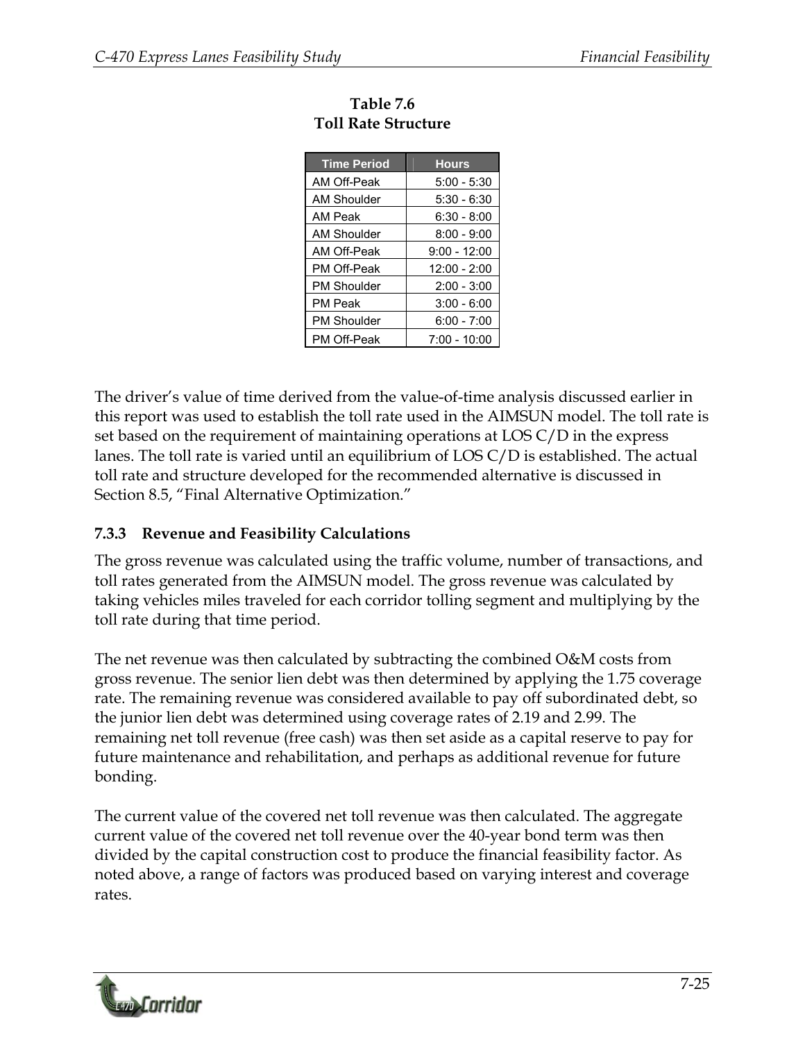| <b>Time Period</b> | <b>Hours</b>   |
|--------------------|----------------|
| AM Off-Peak        | $5:00 - 5:30$  |
| AM Shoulder        | $5:30 - 6:30$  |
| AM Peak            | 6:30 - 8:00    |
| AM Shoulder        | $8:00 - 9:00$  |
| AM Off-Peak        | $9:00 - 12:00$ |
| PM Off-Peak        | 12:00 - 2:00   |
| <b>PM Shoulder</b> | $2:00 - 3:00$  |
| <b>PM Peak</b>     | $3:00 - 6:00$  |
| <b>PM Shoulder</b> | $6:00 - 7:00$  |
| PM Off-Peak        | 7:00 - 10:00   |

| Table 7.6           |
|---------------------|
| Toll Rate Structure |

The driver's value of time derived from the value-of-time analysis discussed earlier in this report was used to establish the toll rate used in the AIMSUN model. The toll rate is set based on the requirement of maintaining operations at LOS C/D in the express lanes. The toll rate is varied until an equilibrium of LOS C/D is established. The actual toll rate and structure developed for the recommended alternative is discussed in Section 8.5, "Final Alternative Optimization."

#### **7.3.3 Revenue and Feasibility Calculations**

The gross revenue was calculated using the traffic volume, number of transactions, and toll rates generated from the AIMSUN model. The gross revenue was calculated by taking vehicles miles traveled for each corridor tolling segment and multiplying by the toll rate during that time period.

The net revenue was then calculated by subtracting the combined O&M costs from gross revenue. The senior lien debt was then determined by applying the 1.75 coverage rate. The remaining revenue was considered available to pay off subordinated debt, so the junior lien debt was determined using coverage rates of 2.19 and 2.99. The remaining net toll revenue (free cash) was then set aside as a capital reserve to pay for future maintenance and rehabilitation, and perhaps as additional revenue for future bonding.

The current value of the covered net toll revenue was then calculated. The aggregate current value of the covered net toll revenue over the 40-year bond term was then divided by the capital construction cost to produce the financial feasibility factor. As noted above, a range of factors was produced based on varying interest and coverage rates.